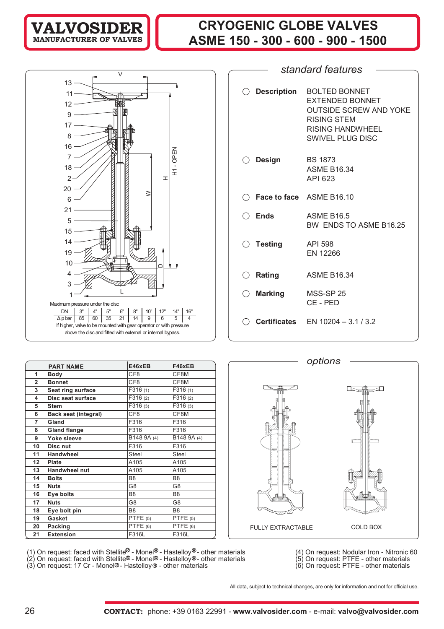## **CRYOGENIC GLOBE VALVES ASME 150 - 300 - 600 - 900 - 1500**



|     |                    | standard features                                                                                                                      |
|-----|--------------------|----------------------------------------------------------------------------------------------------------------------------------------|
|     |                    |                                                                                                                                        |
| ( ) | <b>Description</b> | <b>BOLTED BONNET</b><br><b>EXTENDED BONNET</b><br><b>OUTSIDE SCREW AND YOKE</b><br>RISING STEM<br>RISING HANDWHEEL<br>SWIVEL PLUG DISC |
|     | $\bigcirc$ Design  | <b>BS 1873</b><br><b>ASME B16.34</b><br>API 623                                                                                        |
|     |                    | $\bigcirc$ Face to face ASME B16.10                                                                                                    |
|     | $\bigcirc$ Ends    | <b>ASME B16.5</b><br>BW ENDS TO ASME B16.25                                                                                            |
|     | $\bigcirc$ Testing | API 598<br><b>EN 12266</b>                                                                                                             |
|     | $\bigcirc$ Rating  | <b>ASME B16.34</b>                                                                                                                     |
|     | $\bigcirc$ Marking | <b>MSS-SP 25</b><br>CE-PED                                                                                                             |
|     |                    | <b>Certificates</b> $EN 10204 - 3.1 / 3.2$                                                                                             |

*options*

|                  |                             | E46xEB               | F46xEB         |
|------------------|-----------------------------|----------------------|----------------|
|                  | <b>PART NAME</b>            |                      |                |
| 1                | <b>Body</b>                 | CF8                  | CF8M           |
| $\overline{2}$   | <b>Bonnet</b>               | CF8                  | CF8M           |
| 3                | Seat ring surface           | F316 (1)             | F316(1)        |
| 4                | Disc seat surface           | $\overline{F}316(2)$ | F316(2)        |
| 5                | <b>Stem</b>                 | $\overline{F}316(3)$ | F316 (3)       |
| 6                | <b>Back seat (integral)</b> | CF8                  | CF8M           |
| $\overline{7}$   | Gland                       | F316                 | F316           |
| 8                | <b>Gland flange</b>         | F316                 | F316           |
| 9                | Yoke sleeve                 | B148 9A (4)          | B148 9A (4)    |
| 10               | Disc nut                    | F316                 | F316           |
| 11               | Handwheel                   | <b>Steel</b>         | <b>Steel</b>   |
| 12 <sup>12</sup> | Plate                       | A105                 | A105           |
| 13               | <b>Handwheel nut</b>        | A105                 | A105           |
| 14               | <b>Bolts</b>                | B <sub>8</sub>       | B <sub>8</sub> |
| 15               | <b>Nuts</b>                 | G8                   | G8             |
| 16               | Eye bolts                   | B <sub>8</sub>       | B <sub>8</sub> |
| 17               | <b>Nuts</b>                 | G8                   | G8             |
| 18               | Eye bolt pin                | B8                   | B <sub>8</sub> |
| 19               | Gasket                      | PTFE $(5)$           | PTFE $(5)$     |
| 20               | Packing                     | PTFE $(6)$           | PTFE $(6)$     |
| 21               | <b>Extension</b>            | F316L                | F316L          |

圧 टा FULLY EXTRACTABLE COLD BOX

(1) On request: faced with Stellite - Monel® - Hastelloy® - other materials (4) On request: Nodular Iron - Nitronic 60

- (2) On request: faced with Stellite® Monel® Hastelloy®- other materials (5) On request: PTFE other materials
- (3) On request: 17 Cr Monel®- Hastelloy® other materials (6) On request: PTFE other materials
- 
- 

All data, subject to technical changes, are only for information and not for official use.